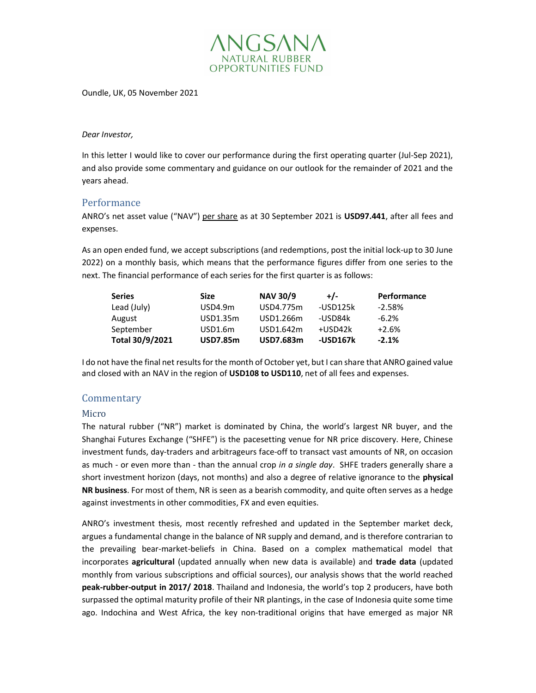

Oundle, UK, 05 November 2021

### Dear Investor,

In this letter I would like to cover our performance during the first operating quarter (Jul-Sep 2021), and also provide some commentary and guidance on our outlook for the remainder of 2021 and the years ahead.

# Performance

ANRO's net asset value ("NAV") per share as at 30 September 2021 is USD97.441, after all fees and expenses.

As an open ended fund, we accept subscriptions (and redemptions, post the initial lock-up to 30 June 2022) on a monthly basis, which means that the performance figures differ from one series to the next. The financial performance of each series for the first quarter is as follows:

| <b>Series</b>   | <b>Size</b>     | <b>NAV 30/9</b>  | $+/-$    | <b>Performance</b> |
|-----------------|-----------------|------------------|----------|--------------------|
| Lead (July)     | USD4.9m         | USD4.775m        | -USD125k | $-2.58\%$          |
| August          | USD1.35m        | USD1.266m        | -USD84k  | $-6.2\%$           |
| September       | USD1.6m         | USD1.642m        | +USD42k  | $+2.6%$            |
| Total 30/9/2021 | <b>USD7.85m</b> | <b>USD7.683m</b> | -USD167k | $-2.1%$            |

I do not have the final net results for the month of October yet, but I can share that ANRO gained value and closed with an NAV in the region of USD108 to USD110, net of all fees and expenses.

# **Commentary**

### Micro

The natural rubber ("NR") market is dominated by China, the world's largest NR buyer, and the Shanghai Futures Exchange ("SHFE") is the pacesetting venue for NR price discovery. Here, Chinese investment funds, day-traders and arbitrageurs face-off to transact vast amounts of NR, on occasion as much - or even more than - than the annual crop in a single day. SHFE traders generally share a short investment horizon (days, not months) and also a degree of relative ignorance to the **physical** NR business. For most of them, NR is seen as a bearish commodity, and quite often serves as a hedge against investments in other commodities, FX and even equities.

ANRO's investment thesis, most recently refreshed and updated in the September market deck, argues a fundamental change in the balance of NR supply and demand, and is therefore contrarian to the prevailing bear-market-beliefs in China. Based on a complex mathematical model that incorporates agricultural (updated annually when new data is available) and trade data (updated monthly from various subscriptions and official sources), our analysis shows that the world reached peak-rubber-output in 2017/ 2018. Thailand and Indonesia, the world's top 2 producers, have both surpassed the optimal maturity profile of their NR plantings, in the case of Indonesia quite some time ago. Indochina and West Africa, the key non-traditional origins that have emerged as major NR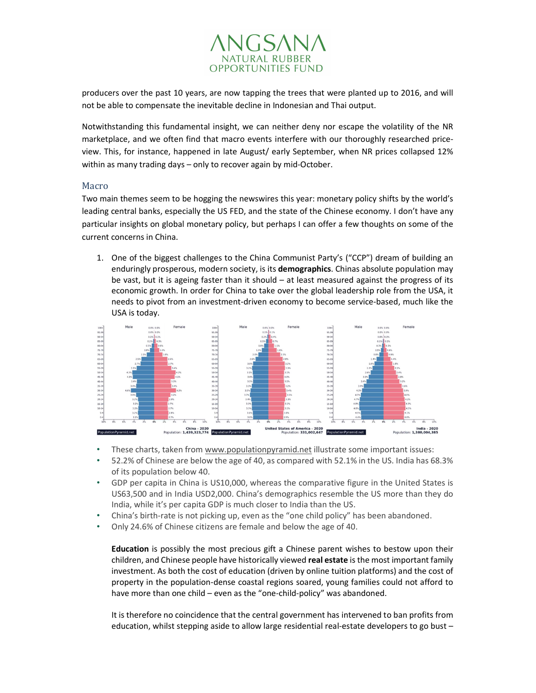

producers over the past 10 years, are now tapping the trees that were planted up to 2016, and will not be able to compensate the inevitable decline in Indonesian and Thai output.

Notwithstanding this fundamental insight, we can neither deny nor escape the volatility of the NR marketplace, and we often find that macro events interfere with our thoroughly researched priceview. This, for instance, happened in late August/ early September, when NR prices collapsed 12% within as many trading days – only to recover again by mid-October.

## Macro

Two main themes seem to be hogging the newswires this year: monetary policy shifts by the world's leading central banks, especially the US FED, and the state of the Chinese economy. I don't have any particular insights on global monetary policy, but perhaps I can offer a few thoughts on some of the current concerns in China.

1. One of the biggest challenges to the China Communist Party's ("CCP") dream of building an enduringly prosperous, modern society, is its demographics. Chinas absolute population may be vast, but it is ageing faster than it should  $-$  at least measured against the progress of its economic growth. In order for China to take over the global leadership role from the USA, it needs to pivot from an investment-driven economy to become service-based, much like the USA is today.



- These charts, taken from www.populationpyramid.net illustrate some important issues:
- 52.2% of Chinese are below the age of 40, as compared with 52.1% in the US. India has 68.3% of its population below 40.
- GDP per capita in China is US10,000, whereas the comparative figure in the United States is US63,500 and in India USD2,000. China's demographics resemble the US more than they do India, while it's per capita GDP is much closer to India than the US.
- China's birth-rate is not picking up, even as the "one child policy" has been abandoned.
- Only 24.6% of Chinese citizens are female and below the age of 40.

Education is possibly the most precious gift a Chinese parent wishes to bestow upon their children, and Chinese people have historically viewed real estate is the most important family investment. As both the cost of education (driven by online tuition platforms) and the cost of property in the population-dense coastal regions soared, young families could not afford to have more than one child – even as the "one-child-policy" was abandoned.

It is therefore no coincidence that the central government has intervened to ban profits from education, whilst stepping aside to allow large residential real-estate developers to go bust –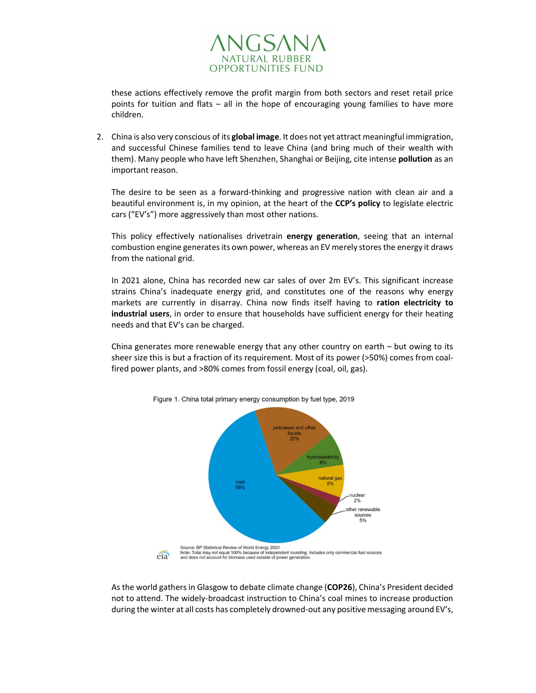

these actions effectively remove the profit margin from both sectors and reset retail price points for tuition and flats – all in the hope of encouraging young families to have more children.

2. China is also very conscious of its global image. It does not yet attract meaningful immigration, and successful Chinese families tend to leave China (and bring much of their wealth with them). Many people who have left Shenzhen, Shanghai or Beijing, cite intense pollution as an important reason.

The desire to be seen as a forward-thinking and progressive nation with clean air and a beautiful environment is, in my opinion, at the heart of the CCP's policy to legislate electric cars ("EV's") more aggressively than most other nations.

This policy effectively nationalises drivetrain energy generation, seeing that an internal combustion engine generates its own power, whereas an EV merely stores the energy it draws from the national grid.

In 2021 alone, China has recorded new car sales of over 2m EV's. This significant increase strains China's inadequate energy grid, and constitutes one of the reasons why energy markets are currently in disarray. China now finds itself having to ration electricity to industrial users, in order to ensure that households have sufficient energy for their heating needs and that EV's can be charged.

China generates more renewable energy that any other country on earth – but owing to its sheer size this is but a fraction of its requirement. Most of its power (>50%) comes from coalfired power plants, and >80% comes from fossil energy (coal, oil, gas).



Figure 1. China total primary energy consumption by fuel type, 2019

As the world gathers in Glasgow to debate climate change (COP26), China's President decided not to attend. The widely-broadcast instruction to China's coal mines to increase production during the winter at all costs has completely drowned-out any positive messaging around EV's,